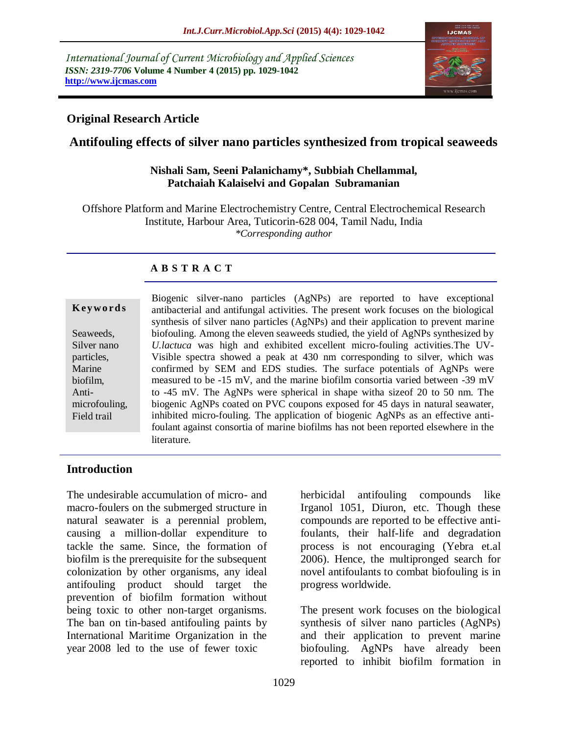*International Journal of Current Microbiology and Applied Sciences ISSN: 2319-7706* **Volume 4 Number 4 (2015) pp. 1029-1042 http://www.ijcmas.com** 



# **Original Research Article**

# **Antifouling effects of silver nano particles synthesized from tropical seaweeds**

#### **Nishali Sam, Seeni Palanichamy\*, Subbiah Chellammal, Patchaiah Kalaiselvi and Gopalan Subramanian**

Offshore Platform and Marine Electrochemistry Centre, Central Electrochemical Research Institute, Harbour Area, Tuticorin-628 004, Tamil Nadu, India *\*Corresponding author*

# **A B S T R A C T**

| IZ C Y W U L U S             |
|------------------------------|
| Seaweeds,<br>Silver nano     |
| particles,                   |
| Marine<br>biofilm,           |
| Anti-                        |
| microfouling,<br>Field trail |
|                              |

**K ey w o rd s**

Biogenic silver-nano particles (AgNPs) are reported to have exceptional antibacterial and antifungal activities. The present work focuses on the biological synthesis of silver nano particles (AgNPs) and their application to prevent marine biofouling. Among the eleven seaweeds studied, the yield of AgNPs synthesized by *U.lactuca* was high and exhibited excellent micro-fouling activities.The UV-Visible spectra showed a peak at 430 nm corresponding to silver, which was confirmed by SEM and EDS studies. The surface potentials of AgNPs were measured to be -15 mV, and the marine biofilm consortia varied between -39 mV to -45 mV. The AgNPs were spherical in shape witha sizeof 20 to 50 nm. The biogenic AgNPs coated on PVC coupons exposed for 45 days in natural seawater, inhibited micro-fouling. The application of biogenic AgNPs as an effective antifoulant against consortia of marine biofilms has not been reported elsewhere in the literature.

### **Introduction**

The undesirable accumulation of micro- and macro-foulers on the submerged structure in natural seawater is a perennial problem, causing a million-dollar expenditure to tackle the same. Since, the formation of biofilm is the prerequisite for the subsequent colonization by other organisms, any ideal antifouling product should target the prevention of biofilm formation without being toxic to other non-target organisms. The ban on tin-based antifouling paints by International Maritime Organization in the year 2008 led to the use of fewer toxic

herbicidal antifouling compounds like Irganol 1051, Diuron, etc. Though these compounds are reported to be effective antifoulants, their half-life and degradation process is not encouraging (Yebra et.al 2006). Hence, the multipronged search for novel antifoulants to combat biofouling is in progress worldwide.

The present work focuses on the biological synthesis of silver nano particles (AgNPs) and their application to prevent marine biofouling. AgNPs have already been reported to inhibit biofilm formation in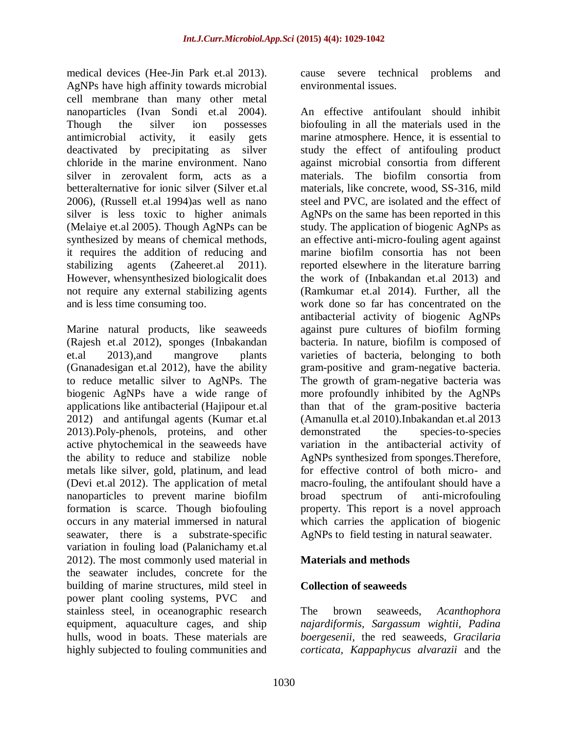medical devices (Hee-Jin Park et.al 2013). AgNPs have high affinity towards microbial cell membrane than many other metal nanoparticles (Ivan Sondi et.al 2004). Though the silver ion possesses antimicrobial activity, it easily gets deactivated by precipitating as silver chloride in the marine environment. Nano silver in zerovalent form, acts as a betteralternative for ionic silver (Silver et.al 2006), (Russell et.al 1994)as well as nano silver is less toxic to higher animals (Melaiye et.al 2005). Though AgNPs can be synthesized by means of chemical methods, it requires the addition of reducing and stabilizing agents (Zaheeret.al 2011). However, whensynthesized biologicalit does not require any external stabilizing agents and is less time consuming too.

Marine natural products, like seaweeds (Rajesh et.al 2012), sponges (Inbakandan et.al 2013),and mangrove plants (Gnanadesigan et.al 2012), have the ability to reduce metallic silver to AgNPs. The biogenic AgNPs have a wide range of applications like antibacterial (Hajipour et.al 2012) and antifungal agents (Kumar et.al 2013).Poly-phenols, proteins, and other active phytochemical in the seaweeds have the ability to reduce and stabilize noble metals like silver, gold, platinum, and lead (Devi et.al 2012). The application of metal nanoparticles to prevent marine biofilm formation is scarce. Though biofouling occurs in any material immersed in natural seawater, there is a substrate-specific variation in fouling load (Palanichamy et.al 2012). The most commonly used material in the seawater includes, concrete for the building of marine structures, mild steel in power plant cooling systems, PVC and stainless steel, in oceanographic research equipment, aquaculture cages, and ship hulls, wood in boats. These materials are highly subjected to fouling communities and

cause severe technical problems and environmental issues.

An effective antifoulant should inhibit biofouling in all the materials used in the marine atmosphere. Hence, it is essential to study the effect of antifouling product against microbial consortia from different materials. The biofilm consortia from materials, like concrete, wood, SS-316, mild steel and PVC, are isolated and the effect of AgNPs on the same has been reported in this study. The application of biogenic AgNPs as an effective anti-micro-fouling agent against marine biofilm consortia has not been reported elsewhere in the literature barring the work of (Inbakandan et.al 2013) and (Ramkumar et.al 2014). Further, all the work done so far has concentrated on the antibacterial activity of biogenic AgNPs against pure cultures of biofilm forming bacteria. In nature, biofilm is composed of varieties of bacteria, belonging to both gram-positive and gram-negative bacteria. The growth of gram-negative bacteria was more profoundly inhibited by the AgNPs than that of the gram-positive bacteria (Amanulla et.al 2010).Inbakandan et.al 2013 demonstrated the species-to-species variation in the antibacterial activity of AgNPs synthesized from sponges.Therefore, for effective control of both micro- and macro-fouling, the antifoulant should have a broad spectrum of anti-microfouling property. This report is a novel approach which carries the application of biogenic AgNPs to field testing in natural seawater.

### **Materials and methods**

# **Collection of seaweeds**

The brown seaweeds, *Acanthophora najardiformis, Sargassum wightii, Padina boergesenii,* the red seaweeds*, Gracilaria corticata, Kappaphycus alvarazii* and the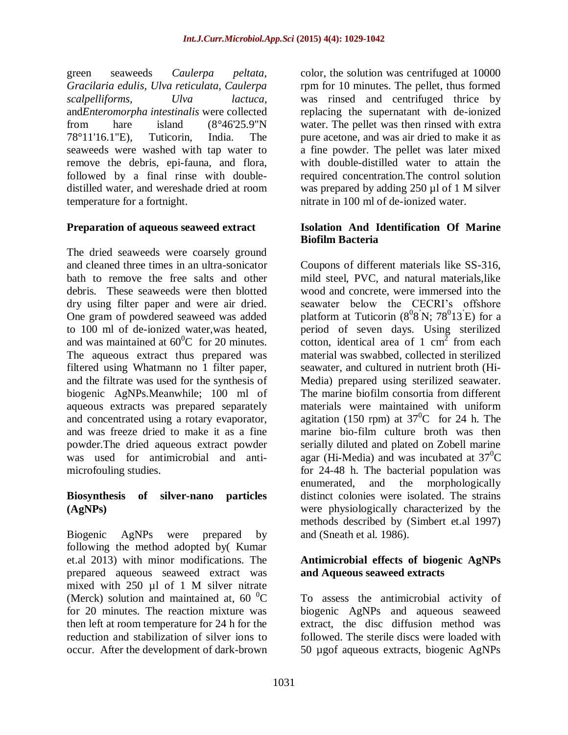green seaweeds *Caulerpa peltata, Gracilaria edulis, Ulva reticulata, Caulerpa scalpelliforms, Ulva lactuca,*  and*Enteromorpha intestinalis* were collected from hare island (8°46'25.9"N 78°11'16.1"E), Tuticorin, India. The seaweeds were washed with tap water to remove the debris, epi-fauna, and flora, followed by a final rinse with doubledistilled water, and wereshade dried at room temperature for a fortnight.

#### **Preparation of aqueous seaweed extract**

The dried seaweeds were coarsely ground and cleaned three times in an ultra-sonicator bath to remove the free salts and other debris. These seaweeds were then blotted dry using filter paper and were air dried. One gram of powdered seaweed was added to 100 ml of de-ionized water,was heated, and was maintained at  $60^{\circ}$ C for 20 minutes. The aqueous extract thus prepared was filtered using Whatmann no 1 filter paper, and the filtrate was used for the synthesis of biogenic AgNPs.Meanwhile; 100 ml of aqueous extracts was prepared separately and concentrated using a rotary evaporator, and was freeze dried to make it as a fine powder.The dried aqueous extract powder was used for antimicrobial and antimicrofouling studies.

### **Biosynthesis of silver-nano particles (AgNPs)**

Biogenic AgNPs were prepared by following the method adopted by( Kumar et.al 2013) with minor modifications. The prepared aqueous seaweed extract was mixed with 250 µl of 1 M silver nitrate (Merck) solution and maintained at,  $60\text{ °C}$ for 20 minutes. The reaction mixture was then left at room temperature for 24 h for the reduction and stabilization of silver ions to occur. After the development of dark-brown

color, the solution was centrifuged at 10000 rpm for 10 minutes. The pellet, thus formed was rinsed and centrifuged thrice by replacing the supernatant with de-ionized water. The pellet was then rinsed with extra pure acetone, and was air dried to make it as a fine powder. The pellet was later mixed with double-distilled water to attain the required concentration.The control solution was prepared by adding 250 µl of 1 M silver nitrate in 100 ml of de-ionized water.

#### **Isolation And Identification Of Marine Biofilm Bacteria**

Coupons of different materials like SS-316, mild steel, PVC, and natural materials,like wood and concrete, were immersed into the seawater below the CECRI's offshore platform at Tuticorin  $(8^08^{\prime}N; 78^{\prime}13^{\prime}E)$  for a period of seven days. Using sterilized cotton, identical area of 1 cm<sup>2</sup> from each material was swabbed, collected in sterilized seawater, and cultured in nutrient broth (Hi-Media) prepared using sterilized seawater. The marine biofilm consortia from different materials were maintained with uniform agitation (150 rpm) at  $37^{\circ}$ C for 24 h. The marine bio-film culture broth was then serially diluted and plated on Zobell marine agar (Hi-Media) and was incubated at  $37^0C$ for 24-48 h. The bacterial population was enumerated, and the morphologically distinct colonies were isolated. The strains were physiologically characterized by the methods described by (Simbert et.al 1997) and (Sneath et al. 1986).

### **Antimicrobial effects of biogenic AgNPs and Aqueous seaweed extracts**

To assess the antimicrobial activity of biogenic AgNPs and aqueous seaweed extract, the disc diffusion method was followed. The sterile discs were loaded with 50 µgof aqueous extracts, biogenic AgNPs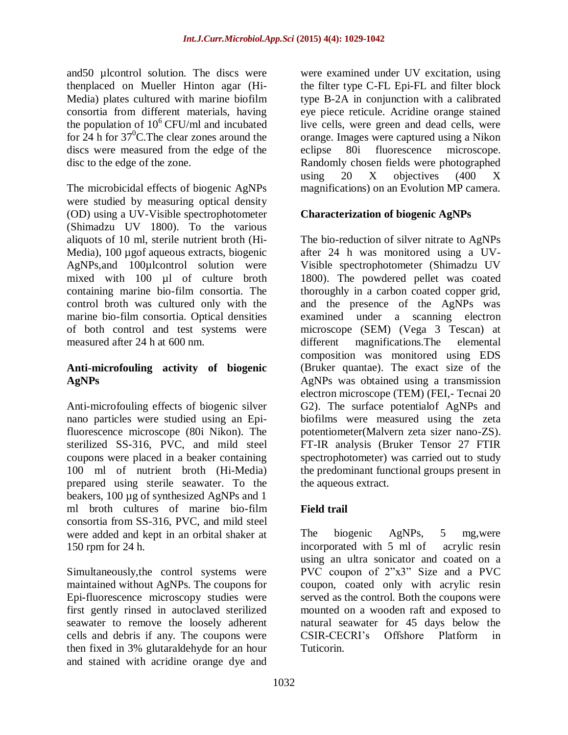and50 µlcontrol solution. The discs were thenplaced on Mueller Hinton agar (Hi-Media) plates cultured with marine biofilm consortia from different materials, having the population of  $10^6$  CFU/ml and incubated for  $24$  h for  $37^{\circ}$ C. The clear zones around the discs were measured from the edge of the disc to the edge of the zone.

The microbicidal effects of biogenic AgNPs were studied by measuring optical density (OD) using a UV-Visible spectrophotometer (Shimadzu UV 1800). To the various aliquots of 10 ml, sterile nutrient broth (Hi-Media), 100 µgof aqueous extracts, biogenic AgNPs,and 100µlcontrol solution were mixed with 100 µl of culture broth containing marine bio-film consortia. The control broth was cultured only with the marine bio-film consortia. Optical densities of both control and test systems were measured after 24 h at 600 nm.

### **Anti-microfouling activity of biogenic AgNPs**

Anti-microfouling effects of biogenic silver nano particles were studied using an Epifluorescence microscope (80i Nikon). The sterilized SS-316, PVC, and mild steel coupons were placed in a beaker containing 100 ml of nutrient broth (Hi-Media) prepared using sterile seawater. To the beakers, 100 µg of synthesized AgNPs and 1 ml broth cultures of marine bio-film consortia from SS-316, PVC, and mild steel were added and kept in an orbital shaker at 150 rpm for 24 h.

Simultaneously,the control systems were maintained without AgNPs. The coupons for Epi-fluorescence microscopy studies were first gently rinsed in autoclaved sterilized seawater to remove the loosely adherent cells and debris if any. The coupons were then fixed in 3% glutaraldehyde for an hour and stained with acridine orange dye and

were examined under UV excitation, using the filter type C-FL Epi-FL and filter block type B-2A in conjunction with a calibrated eye piece reticule. Acridine orange stained live cells, were green and dead cells, were orange. Images were captured using a Nikon eclipse 80i fluorescence microscope. Randomly chosen fields were photographed using  $20 \text{ X}$  objectives  $(400 \text{ X})$ magnifications) on an Evolution MP camera.

# **Characterization of biogenic AgNPs**

The bio-reduction of silver nitrate to AgNPs after 24 h was monitored using a UV-Visible spectrophotometer (Shimadzu UV 1800). The powdered pellet was coated thoroughly in a carbon coated copper grid, and the presence of the AgNPs was examined under a scanning electron microscope (SEM) (Vega 3 Tescan) at different magnifications.The elemental composition was monitored using EDS (Bruker quantae). The exact size of the AgNPs was obtained using a transmission electron microscope (TEM) (FEI,- Tecnai 20 G2). The surface potentialof AgNPs and biofilms were measured using the zeta potentiometer(Malvern zeta sizer nano-ZS). FT-IR analysis (Bruker Tensor 27 FTIR spectrophotometer) was carried out to study the predominant functional groups present in the aqueous extract.

### **Field trail**

The biogenic AgNPs, 5 mg,were incorporated with 5 ml of acrylic resin using an ultra sonicator and coated on a PVC coupon of 2"x3" Size and a PVC coupon, coated only with acrylic resin served as the control. Both the coupons were mounted on a wooden raft and exposed to natural seawater for 45 days below the CSIR-CECRI's Offshore Platform in Tuticorin.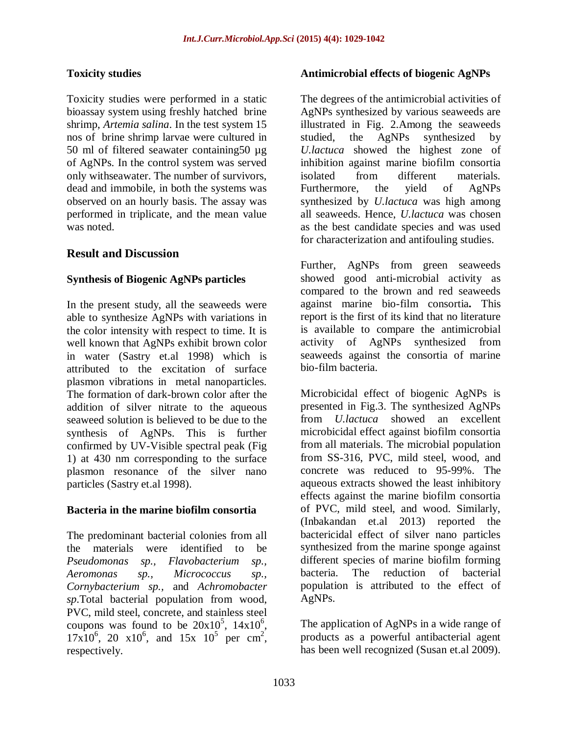# **Toxicity studies**

Toxicity studies were performed in a static bioassay system using freshly hatched brine shrimp, *Artemia salina*. In the test system 15 nos of brine shrimp larvae were cultured in 50 ml of filtered seawater containing50 µg of AgNPs. In the control system was served only withseawater. The number of survivors, dead and immobile, in both the systems was observed on an hourly basis. The assay was performed in triplicate, and the mean value was noted.

# **Result and Discussion**

### **Synthesis of Biogenic AgNPs particles**

In the present study, all the seaweeds were able to synthesize AgNPs with variations in the color intensity with respect to time. It is well known that AgNPs exhibit brown color in water (Sastry et.al 1998) which is attributed to the excitation of surface plasmon vibrations in metal nanoparticles. The formation of dark-brown color after the addition of silver nitrate to the aqueous seaweed solution is believed to be due to the synthesis of AgNPs. This is further confirmed by UV-Visible spectral peak (Fig 1) at 430 nm corresponding to the surface plasmon resonance of the silver nano particles (Sastry et.al 1998).

### **Bacteria in the marine biofilm consortia**

The predominant bacterial colonies from all the materials were identified to be *Pseudomonas sp., Flavobacterium sp., Aeromonas sp., Micrococcus sp., Cornybacterium sp.,* and *Achromobacter sp*.Total bacterial population from wood, PVC, mild steel, concrete, and stainless steel coupons was found to be  $20x10^5$ ,  $14x10^6$ ,  $17x10^6$ , 20  $x10^6$ , and  $15x$   $10^5$  per cm<sup>2</sup>, respectively.

### **Antimicrobial effects of biogenic AgNPs**

The degrees of the antimicrobial activities of AgNPs synthesized by various seaweeds are illustrated in Fig. 2.Among the seaweeds studied, the AgNPs synthesized by *U.lactuca* showed the highest zone of inhibition against marine biofilm consortia isolated from different materials. Furthermore, the yield of AgNPs synthesized by *U.lactuca* was high among all seaweeds. Hence, *U.lactuca* was chosen as the best candidate species and was used for characterization and antifouling studies.

Further, AgNPs from green seaweeds showed good anti-microbial activity as compared to the brown and red seaweeds against marine bio-film consortia**.** This report is the first of its kind that no literature is available to compare the antimicrobial activity of AgNPs synthesized from seaweeds against the consortia of marine bio-film bacteria.

Microbicidal effect of biogenic AgNPs is presented in Fig.3. The synthesized AgNPs from *U.lactuca* showed an excellent microbicidal effect against biofilm consortia from all materials. The microbial population from SS-316, PVC, mild steel, wood, and concrete was reduced to 95-99%. The aqueous extracts showed the least inhibitory effects against the marine biofilm consortia of PVC, mild steel, and wood. Similarly, (Inbakandan et.al 2013) reported the bactericidal effect of silver nano particles synthesized from the marine sponge against different species of marine biofilm forming bacteria. The reduction of bacterial population is attributed to the effect of AgNPs.

The application of AgNPs in a wide range of products as a powerful antibacterial agent has been well recognized (Susan et.al 2009).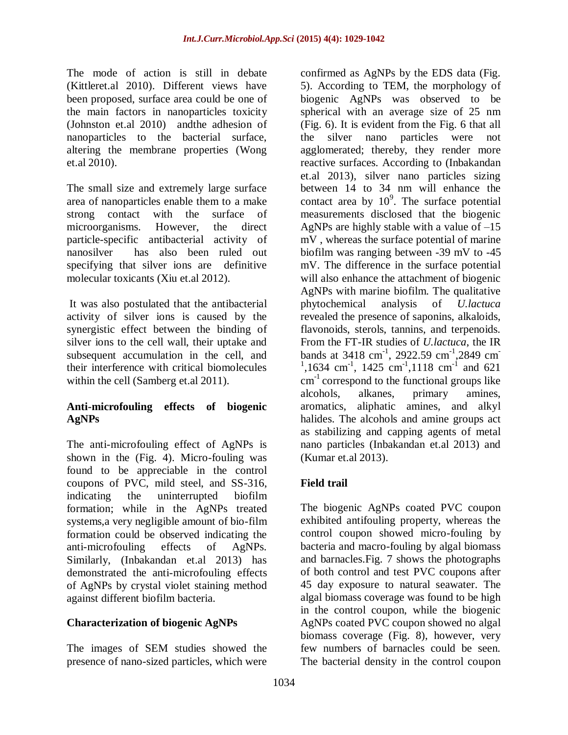The mode of action is still in debate (Kittleret.al 2010). Different views have been proposed, surface area could be one of the main factors in nanoparticles toxicity (Johnston et.al 2010) andthe adhesion of nanoparticles to the bacterial surface, altering the membrane properties (Wong et.al 2010).

The small size and extremely large surface area of nanoparticles enable them to a make strong contact with the surface of microorganisms. However, the direct particle-specific antibacterial activity of nanosilver has also been ruled out specifying that silver ions are definitive molecular toxicants (Xiu et.al 2012).

It was also postulated that the antibacterial activity of silver ions is caused by the synergistic effect between the binding of silver ions to the cell wall, their uptake and subsequent accumulation in the cell, and their interference with critical biomolecules within the cell (Samberg et.al 2011).

# **Anti-microfouling effects of biogenic AgNPs**

The anti-microfouling effect of AgNPs is shown in the (Fig. 4). Micro-fouling was found to be appreciable in the control coupons of PVC, mild steel, and SS-316, indicating the uninterrupted biofilm formation; while in the AgNPs treated systems,a very negligible amount of bio-film formation could be observed indicating the anti-microfouling effects of AgNPs. Similarly, (Inbakandan et.al 2013) has demonstrated the anti-microfouling effects of AgNPs by crystal violet staining method against different biofilm bacteria.

# **Characterization of biogenic AgNPs**

The images of SEM studies showed the presence of nano-sized particles, which were

confirmed as AgNPs by the EDS data (Fig. 5). According to TEM, the morphology of biogenic AgNPs was observed to be spherical with an average size of 25 nm (Fig. 6). It is evident from the Fig. 6 that all the silver nano particles were not agglomerated; thereby, they render more reactive surfaces. According to (Inbakandan et.al 2013), silver nano particles sizing between 14 to 34 nm will enhance the contact area by  $10^9$ . The surface potential measurements disclosed that the biogenic AgNPs are highly stable with a value of  $-15$ mV , whereas the surface potential of marine biofilm was ranging between -39 mV to -45 mV. The difference in the surface potential will also enhance the attachment of biogenic AgNPs with marine biofilm. The qualitative phytochemical analysis of *U.lactuca* revealed the presence of saponins, alkaloids, flavonoids, sterols, tannins, and terpenoids. From the FT-IR studies of *U.lactuca*, the IR bands at 3418 cm<sup>-1</sup>, 2922.59 cm<sup>-1</sup>,2849 cm<sup>-</sup> <sup>1</sup>,1634 cm<sup>-1</sup>, 1425 cm<sup>-1</sup>,1118 cm<sup>-1</sup> and 621 cm<sup>-1</sup> correspond to the functional groups like alcohols, alkanes, primary amines, aromatics, aliphatic amines, and alkyl halides. The alcohols and amine groups act as stabilizing and capping agents of metal nano particles (Inbakandan et.al 2013) and (Kumar et.al 2013).

# **Field trail**

The biogenic AgNPs coated PVC coupon exhibited antifouling property, whereas the control coupon showed micro-fouling by bacteria and macro-fouling by algal biomass and barnacles.Fig. 7 shows the photographs of both control and test PVC coupons after 45 day exposure to natural seawater. The algal biomass coverage was found to be high in the control coupon, while the biogenic AgNPs coated PVC coupon showed no algal biomass coverage (Fig. 8), however, very few numbers of barnacles could be seen. The bacterial density in the control coupon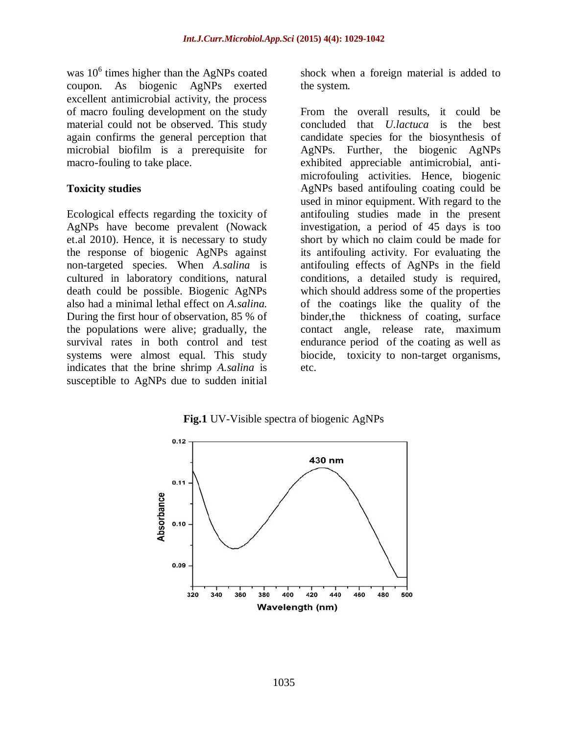was  $10^6$  times higher than the AgNPs coated coupon. As biogenic AgNPs exerted excellent antimicrobial activity, the process of macro fouling development on the study material could not be observed. This study again confirms the general perception that microbial biofilm is a prerequisite for macro-fouling to take place.

### **Toxicity studies**

Ecological effects regarding the toxicity of AgNPs have become prevalent (Nowack et.al 2010). Hence, it is necessary to study the response of biogenic AgNPs against non-targeted species. When *A.salina* is cultured in laboratory conditions, natural death could be possible. Biogenic AgNPs also had a minimal lethal effect on *A.salina.*  During the first hour of observation, 85 % of the populations were alive; gradually, the survival rates in both control and test systems were almost equal. This study indicates that the brine shrimp *A.salina* is susceptible to AgNPs due to sudden initial

shock when a foreign material is added to the system.

From the overall results, it could be concluded that *U.lactuca* is the best candidate species for the biosynthesis of AgNPs. Further, the biogenic AgNPs exhibited appreciable antimicrobial, antimicrofouling activities. Hence, biogenic AgNPs based antifouling coating could be used in minor equipment. With regard to the antifouling studies made in the present investigation, a period of 45 days is too short by which no claim could be made for its antifouling activity. For evaluating the antifouling effects of AgNPs in the field conditions, a detailed study is required, which should address some of the properties of the coatings like the quality of the binder,the thickness of coating, surface contact angle, release rate, maximum endurance period of the coating as well as biocide, toxicity to non-target organisms, etc.

**Fig.1** UV-Visible spectra of biogenic AgNPs

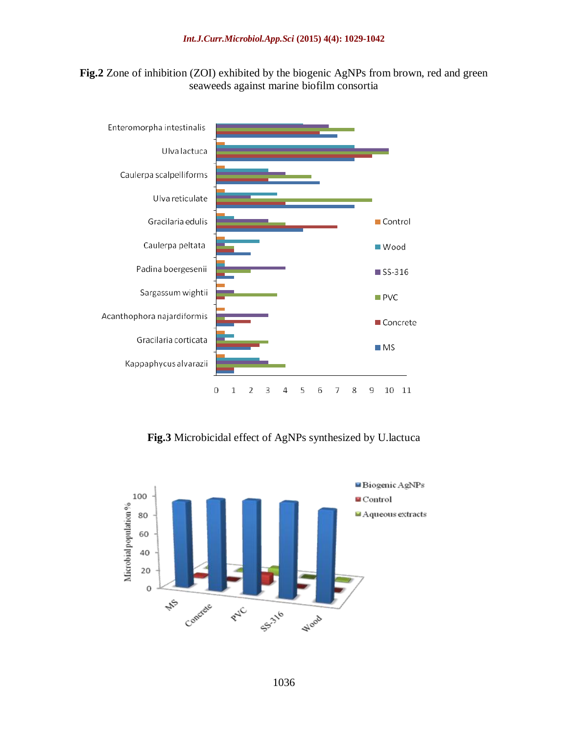



**Fig.3** Microbicidal effect of AgNPs synthesized by U.lactuca

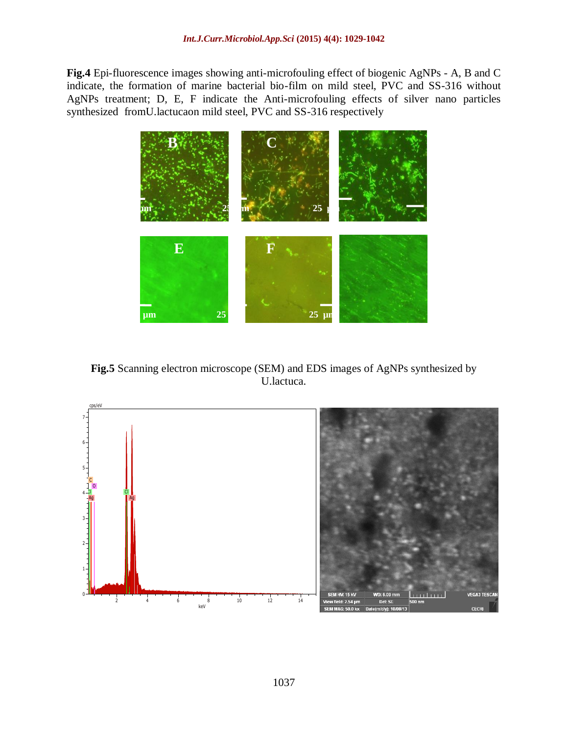**Fig.4** Epi-fluorescence images showing anti-microfouling effect of biogenic AgNPs - A, B and C indicate, the formation of marine bacterial bio-film on mild steel, PVC and SS-316 without AgNPs treatment; D, E, F indicate the Anti-microfouling effects of silver nano particles synthesized fromU.lactucaon mild steel, PVC and SS-316 respectively



**Fig.5** Scanning electron microscope (SEM) and EDS images of AgNPs synthesized by U.lactuca.

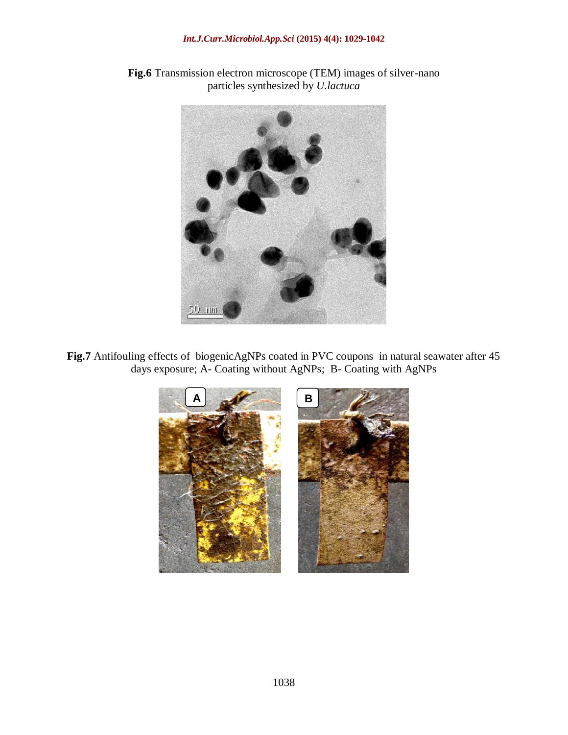#### *Int.J.Curr.Microbiol.App.Sci* **(2015) 4(4): 1029-1042**





**Fig.7** Antifouling effects of biogenicAgNPs coated in PVC coupons in natural seawater after 45 days exposure; A- Coating without AgNPs; B- Coating with AgNPs

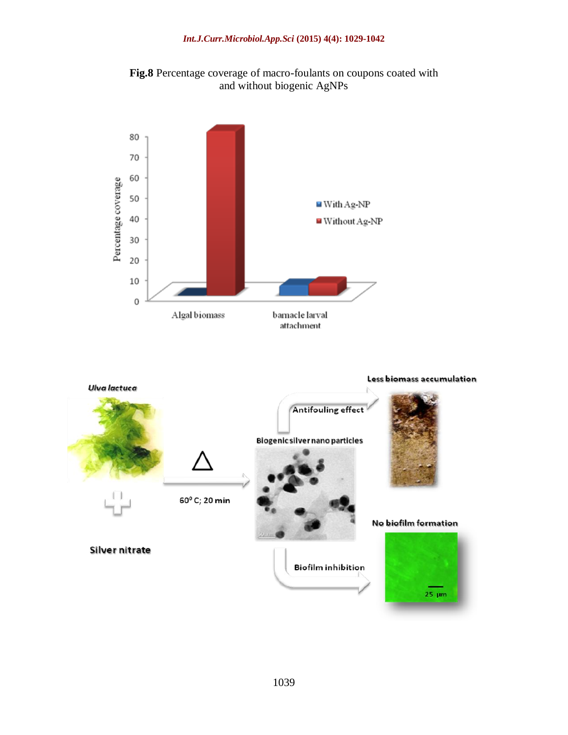



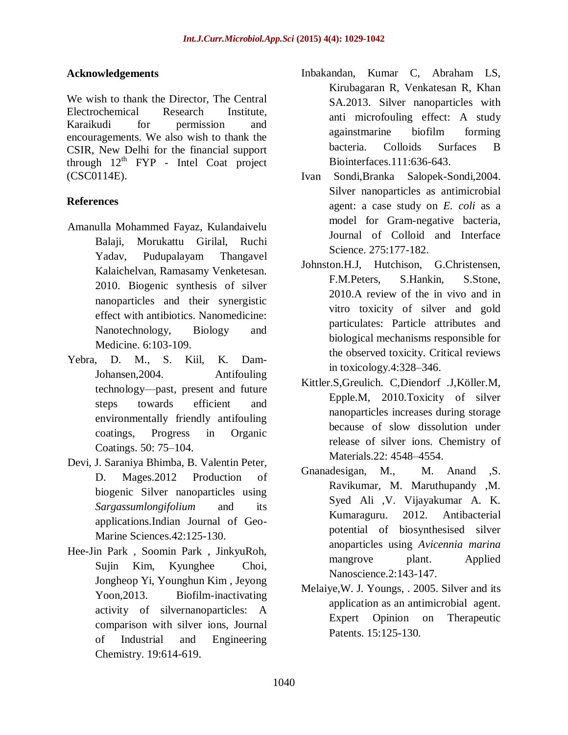# **Acknowledgements**

We wish to thank the Director, The Central Electrochemical Research Institute, Karaikudi for permission and encouragements. We also wish to thank the CSIR, New Delhi for the financial support through  $12<sup>th</sup>$  FYP - Intel Coat project (CSC0114E).

# **References**

- Amanulla Mohammed Fayaz, Kulandaivelu Balaji, Morukattu Girilal, Ruchi Yadav, Pudupalayam Thangavel Kalaichelvan, Ramasamy Venketesan. 2010. Biogenic synthesis of silver nanoparticles and their synergistic effect with antibiotics. Nanomedicine: Nanotechnology, Biology and Medicine. 6:103-109.
- Yebra, D. M., S. Kiil, K. Dam-Johansen,2004. Antifouling technology—past, present and future steps towards efficient and environmentally friendly antifouling coatings, Progress in Organic Coatings. 50: 75–104.
- Devi, J. Saraniya Bhimba, B. Valentin Peter, D. Mages.2012 Production of biogenic Silver nanoparticles using *Sargassumlongifolium* and its applications.Indian Journal of Geo-Marine Sciences.42:125-130.
- Hee-Jin Park , Soomin Park , JinkyuRoh, Sujin Kim, Kyunghee Choi, Jongheop Yi, Younghun Kim , Jeyong Yoon,2013. Biofilm-inactivating activity of silvernanoparticles: A comparison with silver ions, Journal of Industrial and Engineering Chemistry. 19:614-619.
- Inbakandan, Kumar C, Abraham LS, Kirubagaran R, Venkatesan R, Khan SA.2013. Silver nanoparticles with anti microfouling effect: A study againstmarine biofilm forming bacteria. Colloids Surfaces B Biointerfaces.111:636-643.
- Ivan Sondi,Branka Salopek-Sondi,2004. Silver nanoparticles as antimicrobial agent: a case study on *E. coli* as a model for Gram-negative bacteria, Journal of Colloid and Interface Science. 275:177-182.
- Johnston.H.J, Hutchison, G.Christensen, F.M.Peters, S.Hankin, S.Stone, 2010.A review of the in vivo and in vitro toxicity of silver and gold particulates: Particle attributes and biological mechanisms responsible for the observed toxicity. Critical reviews in toxicology.4:328–346.
- Kittler.S,Greulich. C,Diendorf .J,Köller.M, Epple.M, 2010.Toxicity of silver nanoparticles increases during storage because of slow dissolution under release of silver ions. Chemistry of Materials.22: 4548–4554.
- Gnanadesigan, M., M. Anand , S. Ravikumar, M. Maruthupandy ,M. Syed Ali ,V. Vijayakumar A. K. Kumaraguru. 2012. Antibacterial potential of biosynthesised silver anoparticles using *Avicennia marina* mangrove plant. Applied Nanoscience.2:143-147.
- Melaiye,W. J. Youngs, . 2005. Silver and its application as an antimicrobial agent. Expert Opinion on Therapeutic Patents. 15:125-130.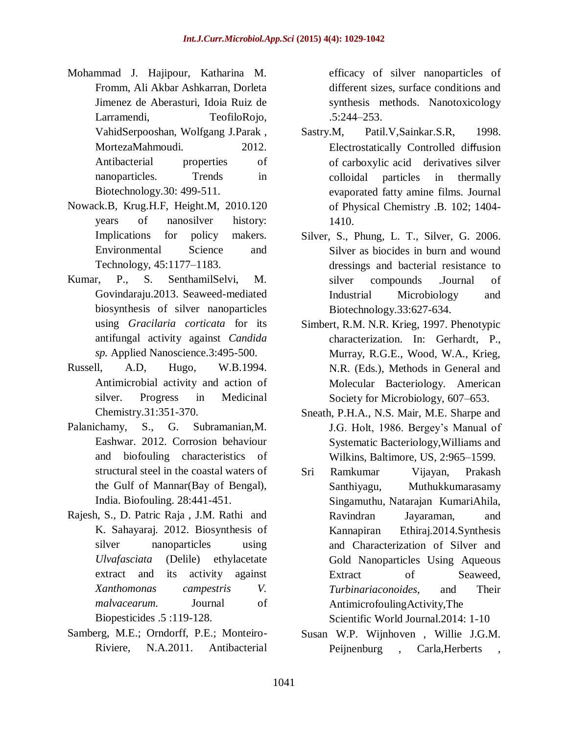- Mohammad J. Hajipour, Katharina M. Fromm, Ali Akbar Ashkarran, Dorleta Jimenez de Aberasturi, Idoia Ruiz de Larramendi, TeofiloRojo, VahidSerpooshan, Wolfgang J.Parak , MortezaMahmoudi. 2012. Antibacterial properties of nanoparticles. Trends in Biotechnology.30: 499-511.
- Nowack.B, Krug.H.F, Height.M, 2010.120 years of nanosilver history: Implications for policy makers. Environmental Science and Technology, 45:1177–1183.
- Kumar, P., S. SenthamilSelvi, M. Govindaraju.2013. Seaweed-mediated biosynthesis of silver nanoparticles using *Gracilaria corticata* for its antifungal activity against *Candida sp.* Applied Nanoscience.3:495-500.
- Russell, A.D, Hugo, W.B.1994. Antimicrobial activity and action of silver. Progress in Medicinal Chemistry.31:351-370.
- Palanichamy, S., G. Subramanian,M. Eashwar. 2012. Corrosion behaviour and biofouling characteristics of structural steel in the coastal waters of the Gulf of Mannar(Bay of Bengal), India. Biofouling. 28:441-451.
- Rajesh, S., D. Patric Raja , J.M. Rathi and K. Sahayaraj. 2012. Biosynthesis of silver nanoparticles using *Ulvafasciata* (Delile) ethylacetate extract and its activity against *Xanthomonas campestris V. malvacearum.* Journal of Biopesticides .5 :119-128.
- Samberg, M.E.; Orndorff, P.E.; Monteiro-Riviere, N.A.2011. Antibacterial

efficacy of silver nanoparticles of different sizes, surface conditions and synthesis methods. Nanotoxicology .5:244–253.

- Sastry.M, Patil.V,Sainkar.S.R, 1998. Electrostatically Controlled diffusion of carboxylic acid derivatives silver colloidal particles in thermally evaporated fatty amine films. Journal of Physical Chemistry .B. 102; 1404- 1410.
- Silver, S., Phung, L. T., Silver, G. 2006. Silver as biocides in burn and wound dressings and bacterial resistance to silver compounds .Journal of Industrial Microbiology and Biotechnology.33:627-634.
- Simbert, R.M. N.R. Krieg, 1997. Phenotypic characterization. In: Gerhardt, P., Murray, R.G.E., Wood, W.A., Krieg, N.R. (Eds.), Methods in General and Molecular Bacteriology. American Society for Microbiology, 607–653.
- Sneath, P.H.A., N.S. Mair, M.E. Sharpe and J.G. Holt, 1986. Bergey's Manual of Systematic Bacteriology,Williams and Wilkins, Baltimore, US, 2:965–1599.
- Sri Ramkumar Vijayan, Prakash Santhiyagu, Muthukkumarasamy Singamuthu, Natarajan KumariAhila, Ravindran Jayaraman, and Kannapiran Ethiraj.2014.Synthesis and Characterization of Silver and Gold Nanoparticles Using Aqueous Extract of Seaweed. *Turbinariaconoides*, and Their AntimicrofoulingActivity,The Scientific World Journal.2014: 1-10
- Susan W.P. Wijnhoven , Willie J.G.M. Peijnenburg, Carla, Herberts